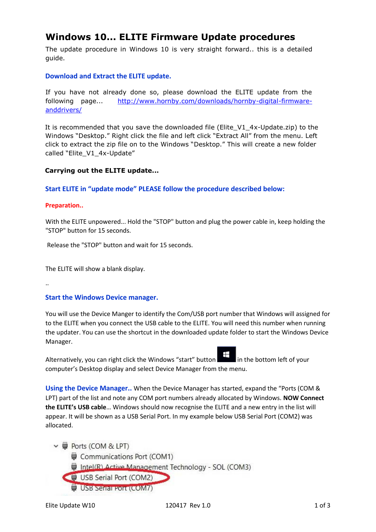# **Windows 10... ELITE Firmware Update procedures**

The update procedure in Windows 10 is very straight forward.. this is a detailed guide.

# **Download and Extract the ELITE update.**

If you have not already done so, please download the ELITE update from the following page... [http://www.hornby.com/downloads/hornby-digital-firmware](http://www.hornby.com/downloads/hornby-digital-firmware-and-drivers/)[anddrivers/](http://www.hornby.com/downloads/hornby-digital-firmware-and-drivers/)

It is recommended that you save the downloaded file (Elite\_V1\_4x-Update.zip) to the Windows "Desktop." Right click the file and left click "Extract All" from the menu. Left click to extract the zip file on to the Windows "Desktop." This will create a new folder called "Elite\_V1\_4x-Update"

# **Carrying out the ELITE update...**

## **Start ELITE in "update mode" PLEASE follow the procedure described below:**

#### **Preparation..**

With the ELITE unpowered... Hold the "STOP" button and plug the power cable in, keep holding the "STOP" button for 15 seconds.

Release the "STOP" button and wait for 15 seconds.

The ELITE will show a blank display.

..

## **Start the Windows Device manager.**

You will use the Device Manger to identify the Com/USB port number that Windows will assigned for to the ELITE when you connect the USB cable to the ELITE. You will need this number when running the updater. You can use the shortcut in the downloaded update folder to start the Windows Device Manager.



Alternatively, you can right click the Windows "start" button  $\Box$  in the bottom left of your computer's Desktop display and select Device Manager from the menu.

**Using the Device Manager..** When the Device Manager has started, expand the "Ports (COM & LPT) part of the list and note any COM port numbers already allocated by Windows. **NOW Connect the ELITE's USB cable**… Windows should now recognise the ELITE and a new entry in the list will appear. It will be shown as a USB Serial Port. In my example below USB Serial Port (COM2) was allocated.

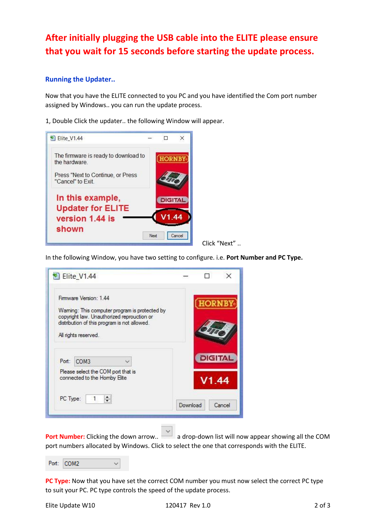# **After initially plugging the USB cable into the ELITE please ensure that you wait for 15 seconds before starting the update process.**

# **Running the Updater..**

Now that you have the ELITE connected to you PC and you have identified the Com port number assigned by Windows.. you can run the update process.

1, Double Click the updater.. the following Window will appear.



Click "Next" ..

In the following Window, you have two setting to configure. i.e. **Port Number and PC Type.**



**Port Number:** Clicking the down arrow.. **and a drop-down list will now appear showing all the COM** port numbers allocated by Windows. Click to select the one that corresponds with the ELITE.

Port: COM2  $\checkmark$ 

**PC Type:** Now that you have set the correct COM number you must now select the correct PC type to suit your PC. PC type controls the speed of the update process.